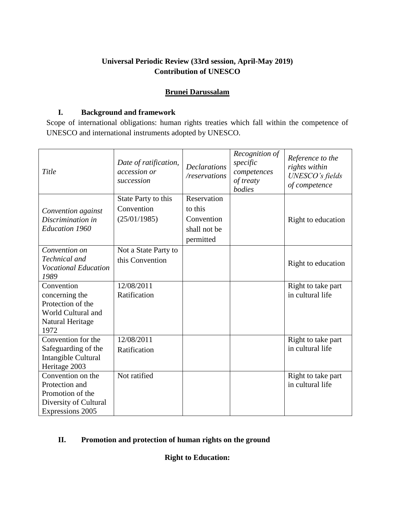# **Universal Periodic Review (33rd session, April-May 2019) Contribution of UNESCO**

# **Brunei Darussalam**

### **I. Background and framework**

Scope of international obligations: human rights treaties which fall within the competence of UNESCO and international instruments adopted by UNESCO.

| Title                                                                                                | Date of ratification,<br>accession or<br>succession | <b>Declarations</b><br>/reservations                              | Recognition of<br>specific<br>competences<br>of treaty<br>bodies | Reference to the<br>rights within<br>UNESCO's fields<br>of competence |
|------------------------------------------------------------------------------------------------------|-----------------------------------------------------|-------------------------------------------------------------------|------------------------------------------------------------------|-----------------------------------------------------------------------|
| Convention against<br>Discrimination in<br><b>Education 1960</b>                                     | State Party to this<br>Convention<br>(25/01/1985)   | Reservation<br>to this<br>Convention<br>shall not be<br>permitted |                                                                  | Right to education                                                    |
| Convention on<br>Technical and<br><b>Vocational Education</b><br>1989                                | Not a State Party to<br>this Convention             |                                                                   |                                                                  | Right to education                                                    |
| Convention<br>concerning the<br>Protection of the<br>World Cultural and<br>Natural Heritage<br>1972  | 12/08/2011<br>Ratification                          |                                                                   |                                                                  | Right to take part<br>in cultural life                                |
| Convention for the<br>Safeguarding of the<br>Intangible Cultural<br>Heritage 2003                    | 12/08/2011<br>Ratification                          |                                                                   |                                                                  | Right to take part<br>in cultural life                                |
| Convention on the<br>Protection and<br>Promotion of the<br>Diversity of Cultural<br>Expressions 2005 | Not ratified                                        |                                                                   |                                                                  | Right to take part<br>in cultural life                                |

# **II. Promotion and protection of human rights on the ground**

**Right to Education:**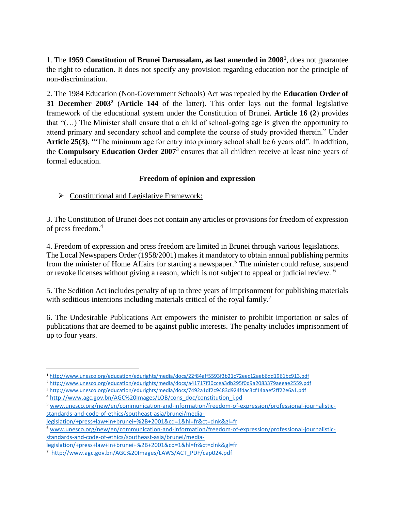1. The **1959 Constitution of Brunei Darussalam, as last amended in 2008<sup>1</sup>** , does not guarantee the right to education. It does not specify any provision regarding education nor the principle of non-discrimination.

2. The 1984 Education (Non-Government Schools) Act was repealed by the **Education Order of 31 December 2003<sup>2</sup>** (**Article 144** of the latter). This order lays out the formal legislative framework of the educational system under the Constitution of Brunei. **Article 16 (2**) provides that "(…) The Minister shall ensure that a child of school-going age is given the opportunity to attend primary and secondary school and complete the course of study provided therein." Under **Article 25(3)**, '"The minimum age for entry into primary school shall be 6 years old". In addition, the **Compulsory Education Order 2007**<sup>3</sup> ensures that all children receive at least nine years of formal education.

# **Freedom of opinion and expression**

 $\triangleright$  Constitutional and Legislative Framework:

3. The Constitution of Brunei does not contain any articles or provisions for freedom of expression of press freedom.<sup>4</sup>

4. Freedom of expression and press freedom are limited in Brunei through various legislations. The Local Newspapers Order (1958/2001) makes it mandatory to obtain annual publishing permits from the minister of Home Affairs for starting a newspaper.<sup>5</sup> The minister could refuse, suspend or revoke licenses without giving a reason, which is not subject to appeal or judicial review. <sup>6</sup>

5. The Sedition Act includes penalty of up to three years of imprisonment for publishing materials with seditious intentions including materials critical of the royal family.<sup>7</sup>

6. The Undesirable Publications Act empowers the minister to prohibit importation or sales of publications that are deemed to be against public interests. The penalty includes imprisonment of up to four years.

 $\overline{\phantom{a}}$ 

<sup>1</sup> <http://www.unesco.org/education/edurights/media/docs/22f84aff5593f3b21c72eec12aeb6dd1961bc913.pdf>

<sup>2</sup> <http://www.unesco.org/education/edurights/media/docs/a41717f30ccea3db295f0d9a2083379aeeae2559.pdf>

<sup>3</sup> <http://www.unesco.org/education/edurights/media/docs/7492a1df2c9483d924f4ac3cf14aaef2ff22e6a1.pdf>

<sup>4</sup> [http://www.agc.gov.bn/AGC%20Images/LOB/cons\\_doc/constitution\\_i.pd](http://www.agc.gov.bn/AGC%20Images/LOB/cons_doc/constitution_i.pd)

<sup>5</sup> [www.unesco.org/new/en/communication-and-information/freedom-of-expression/professional-journalistic](http://www.unesco.org/new/en/communication-and-information/freedom-of-expression/professional-journalistic-standards-and-code-of-ethics/southeast-asia/brunei/media-legislation/+press+law+in+brunei+%2B+2001&cd=1&hl=fr&ct=clnk&gl=fr)[standards-and-code-of-ethics/southeast-asia/brunei/media-](http://www.unesco.org/new/en/communication-and-information/freedom-of-expression/professional-journalistic-standards-and-code-of-ethics/southeast-asia/brunei/media-legislation/+press+law+in+brunei+%2B+2001&cd=1&hl=fr&ct=clnk&gl=fr)

[legislation/+press+law+in+brunei+%2B+2001&cd=1&hl=fr&ct=clnk&gl=fr](http://www.unesco.org/new/en/communication-and-information/freedom-of-expression/professional-journalistic-standards-and-code-of-ethics/southeast-asia/brunei/media-legislation/+press+law+in+brunei+%2B+2001&cd=1&hl=fr&ct=clnk&gl=fr)

<sup>6</sup> [www.unesco.org/new/en/communication-and-information/freedom-of-expression/professional-journalistic](http://www.unesco.org/new/en/communication-and-information/freedom-of-expression/professional-journalistic-standards-and-code-of-ethics/southeast-asia/brunei/media-legislation/+press+law+in+brunei+%2B+2001&cd=1&hl=fr&ct=clnk&gl=fr)[standards-and-code-of-ethics/southeast-asia/brunei/media-](http://www.unesco.org/new/en/communication-and-information/freedom-of-expression/professional-journalistic-standards-and-code-of-ethics/southeast-asia/brunei/media-legislation/+press+law+in+brunei+%2B+2001&cd=1&hl=fr&ct=clnk&gl=fr)

[legislation/+press+law+in+brunei+%2B+2001&cd=1&hl=fr&ct=clnk&gl=fr](http://www.unesco.org/new/en/communication-and-information/freedom-of-expression/professional-journalistic-standards-and-code-of-ethics/southeast-asia/brunei/media-legislation/+press+law+in+brunei+%2B+2001&cd=1&hl=fr&ct=clnk&gl=fr)

<sup>7</sup> [http://www.agc.gov.bn/AGC%20Images/LAWS/ACT\\_PDF/cap024.pdf](http://www.agc.gov.bn/AGC%20Images/LAWS/ACT_PDF/cap024.pdf)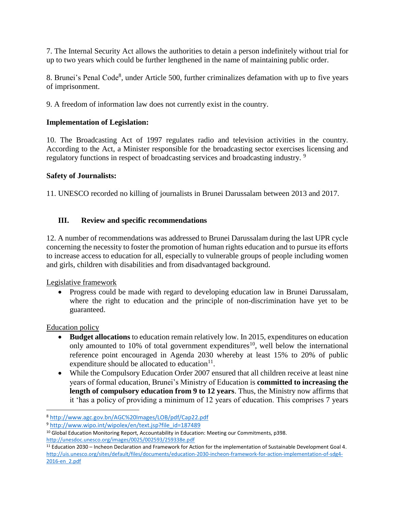7. The Internal Security Act allows the authorities to detain a person indefinitely without trial for up to two years which could be further lengthened in the name of maintaining public order.

8. Brunei's Penal Code<sup>8</sup>, under Article 500, further criminalizes defamation with up to five years of imprisonment.

9. A freedom of information law does not currently exist in the country.

#### **Implementation of Legislation:**

10. The Broadcasting Act of 1997 regulates radio and television activities in the country. According to the Act, a Minister responsible for the broadcasting sector exercises licensing and regulatory functions in respect of broadcasting services and broadcasting industry.<sup>9</sup>

#### **Safety of Journalists:**

11. UNESCO recorded no killing of journalists in Brunei Darussalam between 2013 and 2017.

#### **III. Review and specific recommendations**

12. A number of recommendations was addressed to Brunei Darussalam during the last UPR cycle concerning the necessity to foster the promotion of human rights education and to pursue its efforts to increase access to education for all, especially to vulnerable groups of people including women and girls, children with disabilities and from disadvantaged background.

Legislative framework

• Progress could be made with regard to developing education law in Brunei Darussalam, where the right to education and the principle of non-discrimination have yet to be guaranteed.

Education policy

 $\overline{a}$ 

- **Budget allocations** to education remain relatively low. In 2015, expenditures on education only amounted to 10% of total government expenditures<sup>10</sup>, well below the international reference point encouraged in Agenda 2030 whereby at least 15% to 20% of public expenditure should be allocated to education $11$ .
- While the Compulsory Education Order 2007 ensured that all children receive at least nine years of formal education, Brunei's Ministry of Education is **committed to increasing the length of compulsory education from 9 to 12 years**. Thus, the Ministry now affirms that it 'has a policy of providing a minimum of 12 years of education. This comprises 7 years

<sup>8</sup> <http://www.agc.gov.bn/AGC%20Images/LOB/pdf/Cap22.pdf>

<sup>9</sup> [http://www.wipo.int/wipolex/en/text.jsp?file\\_id=187489](http://www.wipo.int/wipolex/en/text.jsp?file_id=187489)

<sup>&</sup>lt;sup>10</sup> Global Education Monitoring Report, Accountability in Education: Meeting our Commitments, p398. <http://unesdoc.unesco.org/images/0025/002593/259338e.pdf>

<sup>11</sup> Education 2030 – Incheon Declaration and Framework for Action for the implementation of Sustainable Development Goal 4. [http://uis.unesco.org/sites/default/files/documents/education-2030-incheon-framework-for-action-implementation-of-sdg4-](http://uis.unesco.org/sites/default/files/documents/education-2030-incheon-framework-for-action-implementation-of-sdg4-2016-en_2.pdf) [2016-en\\_2.pdf](http://uis.unesco.org/sites/default/files/documents/education-2030-incheon-framework-for-action-implementation-of-sdg4-2016-en_2.pdf)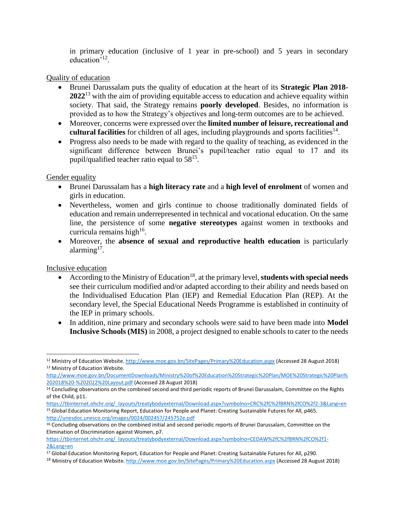in primary education (inclusive of 1 year in pre-school) and 5 years in secondary education<sup>'12</sup>.

#### Quality of education

- Brunei Darussalam puts the quality of education at the heart of its **Strategic Plan 2018- 2022**<sup>13</sup> with the aim of providing equitable access to education and achieve equality within society. That said, the Strategy remains **poorly developed**. Besides, no information is provided as to how the Strategy's objectives and long-term outcomes are to be achieved.
- Moreover, concerns were expressed over the **limited number of leisure, recreational and**  cultural facilities for children of all ages, including playgrounds and sports facilities<sup>14</sup>.
- Progress also needs to be made with regard to the quality of teaching, as evidenced in the significant difference between Brunei's pupil/teacher ratio equal to 17 and its pupil/qualified teacher ratio equal to  $58^{15}$ .

Gender equality

- Brunei Darussalam has a **high literacy rate** and a **high level of enrolment** of women and girls in education.
- Nevertheless, women and girls continue to choose traditionally dominated fields of education and remain underrepresented in technical and vocational education. On the same line, the persistence of some **negative stereotypes** against women in textbooks and curricula remains high<sup>16</sup>.
- Moreover, the **absence of sexual and reproductive health education** is particularly alarming<sup>17</sup>.

Inclusive education

 $\overline{\phantom{a}}$ 

- According to the Ministry of Education<sup>18</sup>, at the primary level, **students with special needs** see their curriculum modified and/or adapted according to their ability and needs based on the Individualised Education Plan (IEP) and Remedial Education Plan (REP). At the secondary level, the Special Educational Needs Programme is established in continuity of the IEP in primary schools.
- In addition, nine primary and secondary schools were said to have been made into **Model Inclusive Schools (MIS)** in 2008, a project designed to enable schools to cater to the needs

[http://www.moe.gov.bn/DocumentDownloads/Ministry%20of%20Education%20Strategic%20Plan/MOE%20Strategic%20Plan%](http://www.moe.gov.bn/DocumentDownloads/Ministry%20of%20Education%20Strategic%20Plan/MOE%20Strategic%20Plan%202018%20-%202022%20Layout.pdf) [202018%20-%202022%20Layout.pdf](http://www.moe.gov.bn/DocumentDownloads/Ministry%20of%20Education%20Strategic%20Plan/MOE%20Strategic%20Plan%202018%20-%202022%20Layout.pdf) (Accessed 28 August 2018)

[https://tbinternet.ohchr.org/\\_layouts/treatybodyexternal/Download.aspx?symbolno=CRC%2fC%2fBRN%2fCO%2f2-3&Lang=en](https://tbinternet.ohchr.org/_layouts/treatybodyexternal/Download.aspx?symbolno=CRC%2fC%2fBRN%2fCO%2f2-3&Lang=en) <sup>15</sup> Global Education Monitoring Report, Education for People and Planet: Creating Sustainable Futures for All, p465. <http://unesdoc.unesco.org/images/0024/002457/245752e.pdf>

<sup>12</sup> Ministry of Education Website. <http://www.moe.gov.bn/SitePages/Primary%20Education.aspx> (Accessed 28 August 2018) <sup>13</sup> Ministry of Education Website.

<sup>&</sup>lt;sup>14</sup> Concluding observations on the combined second and third periodic reports of Brunei Darussalam, Committee on the Rights of the Child, p11.

<sup>&</sup>lt;sup>16</sup> Concluding observations on the combined initial and second periodic reports of Brunei Darussalam, Committee on the Elimination of Discrimination against Women, p7.

[https://tbinternet.ohchr.org/\\_layouts/treatybodyexternal/Download.aspx?symbolno=CEDAW%2fC%2fBRN%2fCO%2f1-](https://tbinternet.ohchr.org/_layouts/treatybodyexternal/Download.aspx?symbolno=CEDAW%2fC%2fBRN%2fCO%2f1-2&Lang=en) [2&Lang=en](https://tbinternet.ohchr.org/_layouts/treatybodyexternal/Download.aspx?symbolno=CEDAW%2fC%2fBRN%2fCO%2f1-2&Lang=en)

<sup>17</sup> Global Education Monitoring Report, Education for People and Planet: Creating Sustainable Futures for All, p290.

<sup>18</sup> Ministry of Education Website. <http://www.moe.gov.bn/SitePages/Primary%20Education.aspx> (Accessed 28 August 2018)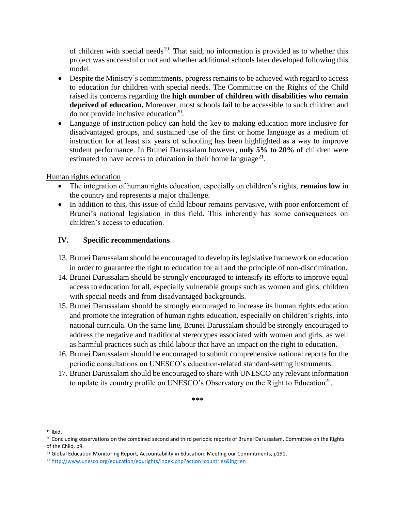of children with special needs<sup>19</sup>. That said, no information is provided as to whether this project was successful or not and whether additional schools later developed following this model.

- Despite the Ministry's commitments, progress remains to be achieved with regard to access to education for children with special needs. The Committee on the Rights of the Child raised its concerns regarding the **high number of children with disabilities who remain deprived of education.** Moreover, most schools fail to be accessible to such children and do not provide inclusive education $^{20}$ .
- Language of instruction policy can hold the key to making education more inclusive for disadvantaged groups, and sustained use of the first or home language as a medium of instruction for at least six years of schooling has been highlighted as a way to improve student performance. In Brunei Darussalam however, **only 5% to 20% of** children were estimated to have access to education in their home language<sup>21</sup>.

Human rights education

- The integration of human rights education, especially on children's rights, **remains low** in the country and represents a major challenge.
- In addition to this, this issue of child labour remains pervasive, with poor enforcement of Brunei's national legislation in this field. This inherently has some consequences on children's access to education.

# **IV. Specific recommendations**

- 13. Brunei Darussalam should be encouraged to develop its legislative framework on education in order to guarantee the right to education for all and the principle of non-discrimination.
- 14. Brunei Darussalam should be strongly encouraged to intensify its efforts to improve equal access to education for all, especially vulnerable groups such as women and girls, children with special needs and from disadvantaged backgrounds.
- 15. Brunei Darussalam should be strongly encouraged to increase its human rights education and promote the integration of human rights education, especially on children's rights, into national curricula. On the same line, Brunei Darussalam should be strongly encouraged to address the negative and traditional stereotypes associated with women and girls, as well as harmful practices such as child labour that have an impact on the right to education.
- 16. Brunei Darussalam should be encouraged to submit comprehensive national reports for the periodic consultations on UNESCO's education-related standard-setting instruments.
- 17. Brunei Darussalam should be encouraged to share with UNESCO any relevant information to update its country profile on UNESCO's Observatory on the Right to Education<sup>22</sup>.

**\*\*\***

 $\overline{\phantom{a}}$  $19$  Ibid.

<sup>&</sup>lt;sup>20</sup> Concluding observations on the combined second and third periodic reports of Brunei Darussalam, Committee on the Rights of the Child, p9.

<sup>&</sup>lt;sup>21</sup> Global Education Monitoring Report, Accountability in Education: Meeting our Commitments, p191.

<sup>22</sup> <http://www.unesco.org/education/edurights/index.php?action=countries&lng=en>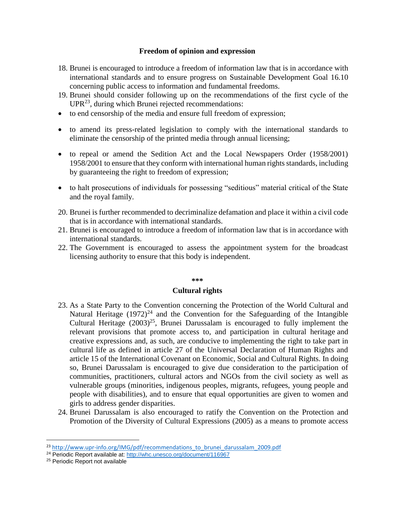#### **Freedom of opinion and expression**

- 18. Brunei is encouraged to introduce a freedom of information law that is in accordance with international standards and to ensure progress on Sustainable Development Goal 16.10 concerning public access to information and fundamental freedoms.
- 19. Brunei should consider following up on the recommendations of the first cycle of the  $UPR<sup>23</sup>$ , during which Brunei rejected recommendations:
- to end censorship of the media and ensure full freedom of expression;
- to amend its press-related legislation to comply with the international standards to eliminate the censorship of the printed media through annual licensing;
- to repeal or amend the Sedition Act and the Local Newspapers Order (1958/2001) 1958/2001 to ensure that they conform with international human rights standards, including by guaranteeing the right to freedom of expression;
- to halt prosecutions of individuals for possessing "seditious" material critical of the State and the royal family.
- 20. Brunei is further recommended to decriminalize defamation and place it within a civil code that is in accordance with international standards.
- 21. Brunei is encouraged to introduce a freedom of information law that is in accordance with international standards.
- 22. The Government is encouraged to assess the appointment system for the broadcast licensing authority to ensure that this body is independent.

#### **\*\*\***

#### **Cultural rights**

- 23. As a State Party to the Convention concerning the Protection of the World Cultural and Natural Heritage  $(1972)^{24}$  and the Convention for the Safeguarding of the Intangible Cultural Heritage  $(2003)^{25}$ , Brunei Darussalam is encouraged to fully implement the relevant provisions that promote access to, and participation in cultural heritage and creative expressions and, as such, are conducive to implementing the right to take part in cultural life as defined in article 27 of the Universal Declaration of Human Rights and article 15 of the International Covenant on Economic, Social and Cultural Rights. In doing so, Brunei Darussalam is encouraged to give due consideration to the participation of communities, practitioners, cultural actors and NGOs from the civil society as well as vulnerable groups (minorities, indigenous peoples, migrants, refugees, young people and people with disabilities), and to ensure that equal opportunities are given to women and girls to address gender disparities.
- 24. Brunei Darussalam is also encouraged to ratify the Convention on the Protection and Promotion of the Diversity of Cultural Expressions (2005) as a means to promote access

 $\overline{\phantom{a}}$ 

<sup>&</sup>lt;sup>23</sup> [http://www.upr-info.org/IMG/pdf/recommendations\\_to\\_brunei\\_darussalam\\_2009.pdf](http://www.upr-info.org/IMG/pdf/recommendations_to_brunei_darussalam_2009.pdf)

<sup>&</sup>lt;sup>24</sup> Periodic Report available at:<http://whc.unesco.org/document/116967>

<sup>&</sup>lt;sup>25</sup> Periodic Report not available